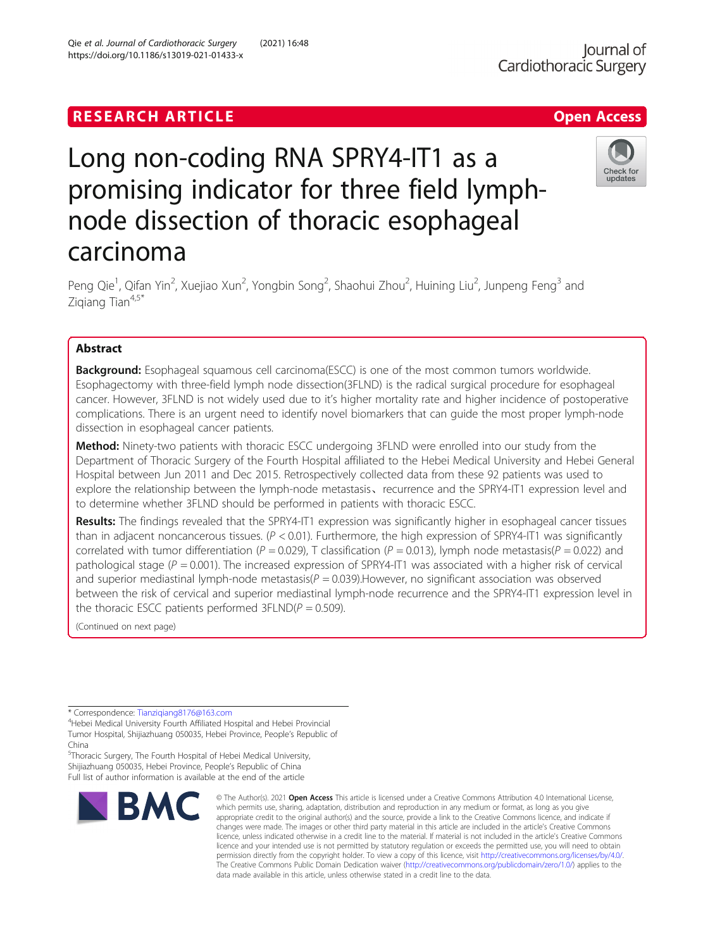# **RESEARCH ARTICLE Example 2018 12:30 The Contract of Contract ACCESS**

# Long non-coding RNA SPRY4-IT1 as a promising indicator for three field lymphnode dissection of thoracic esophageal carcinoma

Peng Qie<sup>1</sup>, Qifan Yin<sup>2</sup>, Xuejiao Xun<sup>2</sup>, Yongbin Song<sup>2</sup>, Shaohui Zhou<sup>2</sup>, Huining Liu<sup>2</sup>, Junpeng Feng<sup>3</sup> and Zigiang Tian<sup>4,5\*</sup>

## Abstract

**Background:** Esophageal squamous cell carcinoma(ESCC) is one of the most common tumors worldwide. Esophagectomy with three-field lymph node dissection(3FLND) is the radical surgical procedure for esophageal cancer. However, 3FLND is not widely used due to it's higher mortality rate and higher incidence of postoperative complications. There is an urgent need to identify novel biomarkers that can guide the most proper lymph-node dissection in esophageal cancer patients.

Method: Ninety-two patients with thoracic ESCC undergoing 3FLND were enrolled into our study from the Department of Thoracic Surgery of the Fourth Hospital affiliated to the Hebei Medical University and Hebei General Hospital between Jun 2011 and Dec 2015. Retrospectively collected data from these 92 patients was used to explore the relationship between the lymph-node metastasis, recurrence and the SPRY4-IT1 expression level and to determine whether 3FLND should be performed in patients with thoracic ESCC.

Results: The findings revealed that the SPRY4-IT1 expression was significantly higher in esophageal cancer tissues than in adjacent noncancerous tissues.  $(P < 0.01)$ . Furthermore, the high expression of SPRY4-IT1 was significantly correlated with tumor differentiation ( $P = 0.029$ ), T classification ( $P = 0.013$ ), lymph node metastasis( $P = 0.022$ ) and pathological stage ( $P = 0.001$ ). The increased expression of SPRY4-IT1 was associated with a higher risk of cervical and superior mediastinal lymph-node metastasis( $P = 0.039$ ). However, no significant association was observed between the risk of cervical and superior mediastinal lymph-node recurrence and the SPRY4-IT1 expression level in the thoracic ESCC patients performed  $3FLND(P = 0.509)$ .

(Continued on next page)

\* Correspondence: [Tianziqiang8176@163.com](mailto:Tianziqiang8176@163.com) <sup>4</sup>

<sup>4</sup>Hebei Medical University Fourth Affiliated Hospital and Hebei Provincial Tumor Hospital, Shijiazhuang 050035, Hebei Province, People's Republic of China

<sup>5</sup>Thoracic Surgery, The Fourth Hospital of Hebei Medical University, Shijiazhuang 050035, Hebei Province, People's Republic of China Full list of author information is available at the end of the article







© The Author(s), 2021 **Open Access** This article is licensed under a Creative Commons Attribution 4.0 International License, which permits use, sharing, adaptation, distribution and reproduction in any medium or format, as long as you give appropriate credit to the original author(s) and the source, provide a link to the Creative Commons licence, and indicate if changes were made. The images or other third party material in this article are included in the article's Creative Commons licence, unless indicated otherwise in a credit line to the material. If material is not included in the article's Creative Commons licence and your intended use is not permitted by statutory regulation or exceeds the permitted use, you will need to obtain permission directly from the copyright holder. To view a copy of this licence, visit [http://creativecommons.org/licenses/by/4.0/.](http://creativecommons.org/licenses/by/4.0/) The Creative Commons Public Domain Dedication waiver [\(http://creativecommons.org/publicdomain/zero/1.0/](http://creativecommons.org/publicdomain/zero/1.0/)) applies to the data made available in this article, unless otherwise stated in a credit line to the data.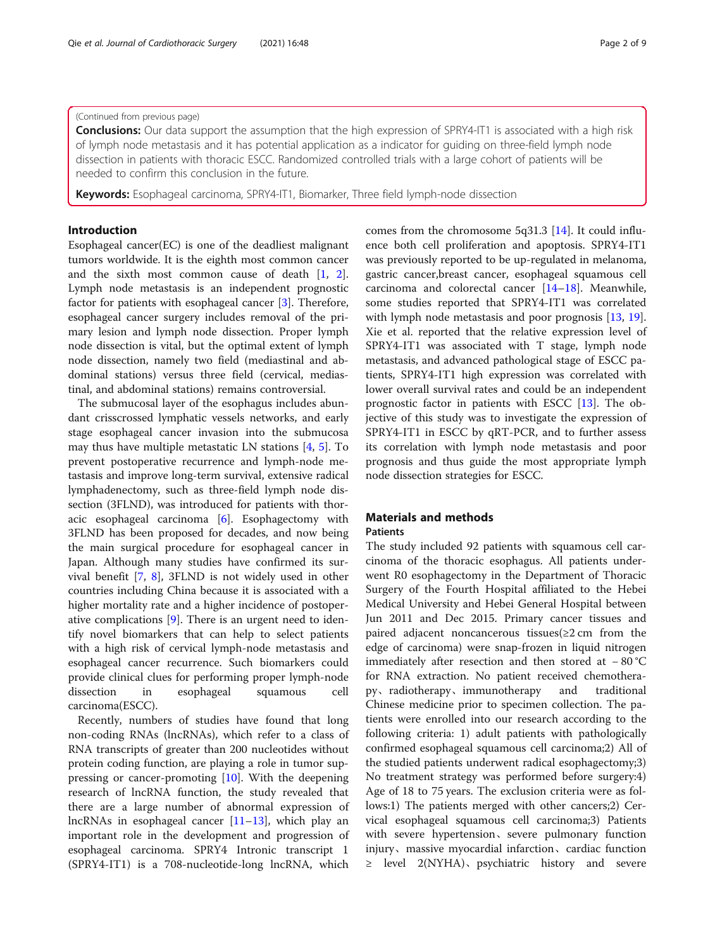#### (Continued from previous page)

**Conclusions:** Our data support the assumption that the high expression of SPRY4-IT1 is associated with a high risk of lymph node metastasis and it has potential application as a indicator for guiding on three-field lymph node dissection in patients with thoracic ESCC. Randomized controlled trials with a large cohort of patients will be needed to confirm this conclusion in the future.

Keywords: Esophageal carcinoma, SPRY4-IT1, Biomarker, Three field lymph-node dissection

#### Introduction

Esophageal cancer(EC) is one of the deadliest malignant tumors worldwide. It is the eighth most common cancer and the sixth most common cause of death [\[1,](#page-7-0) [2](#page-7-0)]. Lymph node metastasis is an independent prognostic factor for patients with esophageal cancer [[3\]](#page-7-0). Therefore, esophageal cancer surgery includes removal of the primary lesion and lymph node dissection. Proper lymph node dissection is vital, but the optimal extent of lymph node dissection, namely two field (mediastinal and abdominal stations) versus three field (cervical, mediastinal, and abdominal stations) remains controversial.

The submucosal layer of the esophagus includes abundant crisscrossed lymphatic vessels networks, and early stage esophageal cancer invasion into the submucosa may thus have multiple metastatic LN stations [\[4](#page-7-0), [5](#page-7-0)]. To prevent postoperative recurrence and lymph-node metastasis and improve long-term survival, extensive radical lymphadenectomy, such as three-field lymph node dissection (3FLND), was introduced for patients with thoracic esophageal carcinoma [\[6](#page-7-0)]. Esophagectomy with 3FLND has been proposed for decades, and now being the main surgical procedure for esophageal cancer in Japan. Although many studies have confirmed its survival benefit [[7,](#page-7-0) [8\]](#page-7-0), 3FLND is not widely used in other countries including China because it is associated with a higher mortality rate and a higher incidence of postoperative complications [\[9](#page-7-0)]. There is an urgent need to identify novel biomarkers that can help to select patients with a high risk of cervical lymph-node metastasis and esophageal cancer recurrence. Such biomarkers could provide clinical clues for performing proper lymph-node dissection in esophageal squamous cell carcinoma(ESCC).

Recently, numbers of studies have found that long non-coding RNAs (lncRNAs), which refer to a class of RNA transcripts of greater than 200 nucleotides without protein coding function, are playing a role in tumor suppressing or cancer-promoting [[10\]](#page-7-0). With the deepening research of lncRNA function, the study revealed that there are a large number of abnormal expression of lncRNAs in esophageal cancer [[11](#page-7-0)–[13](#page-7-0)], which play an important role in the development and progression of esophageal carcinoma. SPRY4 Intronic transcript 1 (SPRY4-IT1) is a 708-nucleotide-long lncRNA, which

comes from the chromosome 5q31.3 [[14](#page-7-0)]. It could influence both cell proliferation and apoptosis. SPRY4-IT1 was previously reported to be up-regulated in melanoma, gastric cancer,breast cancer, esophageal squamous cell carcinoma and colorectal cancer [[14](#page-7-0)–[18](#page-8-0)]. Meanwhile, some studies reported that SPRY4-IT1 was correlated with lymph node metastasis and poor prognosis [\[13](#page-7-0), [19](#page-8-0)]. Xie et al. reported that the relative expression level of SPRY4-IT1 was associated with T stage, lymph node metastasis, and advanced pathological stage of ESCC patients, SPRY4-IT1 high expression was correlated with lower overall survival rates and could be an independent prognostic factor in patients with ESCC [\[13\]](#page-7-0). The objective of this study was to investigate the expression of SPRY4-IT1 in ESCC by qRT-PCR, and to further assess its correlation with lymph node metastasis and poor prognosis and thus guide the most appropriate lymph node dissection strategies for ESCC.

## Materials and methods

## Patients

The study included 92 patients with squamous cell carcinoma of the thoracic esophagus. All patients underwent R0 esophagectomy in the Department of Thoracic Surgery of the Fourth Hospital affiliated to the Hebei Medical University and Hebei General Hospital between Jun 2011 and Dec 2015. Primary cancer tissues and paired adjacent noncancerous tissues(≥2 cm from the edge of carcinoma) were snap-frozen in liquid nitrogen immediately after resection and then stored at − 80 °C for RNA extraction. No patient received chemotherapy、radiotherapy、immunotherapy and traditional Chinese medicine prior to specimen collection. The patients were enrolled into our research according to the following criteria: 1) adult patients with pathologically confirmed esophageal squamous cell carcinoma;2) All of the studied patients underwent radical esophagectomy;3) No treatment strategy was performed before surgery:4) Age of 18 to 75 years. The exclusion criteria were as follows:1) The patients merged with other cancers;2) Cervical esophageal squamous cell carcinoma;3) Patients with severe hypertension、severe pulmonary function injury、massive myocardial infarction、cardiac function ≥ level 2(NYHA)、psychiatric history and severe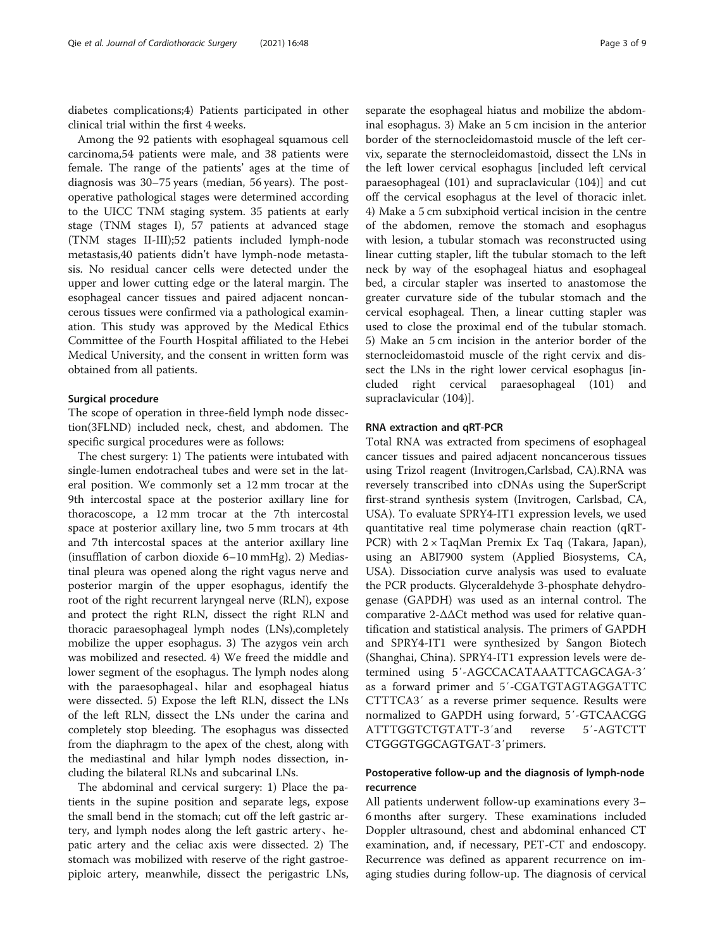diabetes complications;4) Patients participated in other clinical trial within the first 4 weeks.

Among the 92 patients with esophageal squamous cell carcinoma,54 patients were male, and 38 patients were female. The range of the patients' ages at the time of diagnosis was 30–75 years (median, 56 years). The postoperative pathological stages were determined according to the UICC TNM staging system. 35 patients at early stage (TNM stages I), 57 patients at advanced stage (TNM stages II-III);52 patients included lymph-node metastasis,40 patients didn't have lymph-node metastasis. No residual cancer cells were detected under the upper and lower cutting edge or the lateral margin. The esophageal cancer tissues and paired adjacent noncancerous tissues were confirmed via a pathological examination. This study was approved by the Medical Ethics Committee of the Fourth Hospital affiliated to the Hebei Medical University, and the consent in written form was obtained from all patients.

#### Surgical procedure

The scope of operation in three-field lymph node dissection(3FLND) included neck, chest, and abdomen. The specific surgical procedures were as follows:

The chest surgery: 1) The patients were intubated with single-lumen endotracheal tubes and were set in the lateral position. We commonly set a 12 mm trocar at the 9th intercostal space at the posterior axillary line for thoracoscope, a 12 mm trocar at the 7th intercostal space at posterior axillary line, two 5 mm trocars at 4th and 7th intercostal spaces at the anterior axillary line (insufflation of carbon dioxide 6–10 mmHg). 2) Mediastinal pleura was opened along the right vagus nerve and posterior margin of the upper esophagus, identify the root of the right recurrent laryngeal nerve (RLN), expose and protect the right RLN, dissect the right RLN and thoracic paraesophageal lymph nodes (LNs),completely mobilize the upper esophagus. 3) The azygos vein arch was mobilized and resected. 4) We freed the middle and lower segment of the esophagus. The lymph nodes along with the paraesophageal、hilar and esophageal hiatus were dissected. 5) Expose the left RLN, dissect the LNs of the left RLN, dissect the LNs under the carina and completely stop bleeding. The esophagus was dissected from the diaphragm to the apex of the chest, along with the mediastinal and hilar lymph nodes dissection, including the bilateral RLNs and subcarinal LNs.

The abdominal and cervical surgery: 1) Place the patients in the supine position and separate legs, expose the small bend in the stomach; cut off the left gastric artery, and lymph nodes along the left gastric artery、hepatic artery and the celiac axis were dissected. 2) The stomach was mobilized with reserve of the right gastroepiploic artery, meanwhile, dissect the perigastric LNs,

separate the esophageal hiatus and mobilize the abdominal esophagus. 3) Make an 5 cm incision in the anterior border of the sternocleidomastoid muscle of the left cervix, separate the sternocleidomastoid, dissect the LNs in the left lower cervical esophagus [included left cervical paraesophageal (101) and supraclavicular (104)] and cut off the cervical esophagus at the level of thoracic inlet. 4) Make a 5 cm subxiphoid vertical incision in the centre of the abdomen, remove the stomach and esophagus with lesion, a tubular stomach was reconstructed using linear cutting stapler, lift the tubular stomach to the left neck by way of the esophageal hiatus and esophageal bed, a circular stapler was inserted to anastomose the greater curvature side of the tubular stomach and the cervical esophageal. Then, a linear cutting stapler was used to close the proximal end of the tubular stomach. 5) Make an 5 cm incision in the anterior border of the sternocleidomastoid muscle of the right cervix and dissect the LNs in the right lower cervical esophagus [included right cervical paraesophageal (101) and supraclavicular (104)].

#### RNA extraction and qRT-PCR

Total RNA was extracted from specimens of esophageal cancer tissues and paired adjacent noncancerous tissues using Trizol reagent (Invitrogen,Carlsbad, CA).RNA was reversely transcribed into cDNAs using the SuperScript first-strand synthesis system (Invitrogen, Carlsbad, CA, USA). To evaluate SPRY4-IT1 expression levels, we used quantitative real time polymerase chain reaction (qRT-PCR) with 2 × TaqMan Premix Ex Taq (Takara, Japan), using an ABI7900 system (Applied Biosystems, CA, USA). Dissociation curve analysis was used to evaluate the PCR products. Glyceraldehyde 3-phosphate dehydrogenase (GAPDH) was used as an internal control. The comparative 2-ΔΔCt method was used for relative quantification and statistical analysis. The primers of GAPDH and SPRY4-IT1 were synthesized by Sangon Biotech (Shanghai, China). SPRY4-IT1 expression levels were determined using 5′-AGCCACATAAATTCAGCAGA-3′ as a forward primer and 5′-CGATGTAGTAGGATTC CTTTCA3′ as a reverse primer sequence. Results were normalized to GAPDH using forward, 5′-GTCAACGG ATTTGGTCTGTATT-3′and reverse 5′-AGTCTT CTGGGTGGCAGTGAT-3′primers.

## Postoperative follow-up and the diagnosis of lymph-node recurrence

All patients underwent follow-up examinations every 3– 6 months after surgery. These examinations included Doppler ultrasound, chest and abdominal enhanced CT examination, and, if necessary, PET-CT and endoscopy. Recurrence was defined as apparent recurrence on imaging studies during follow-up. The diagnosis of cervical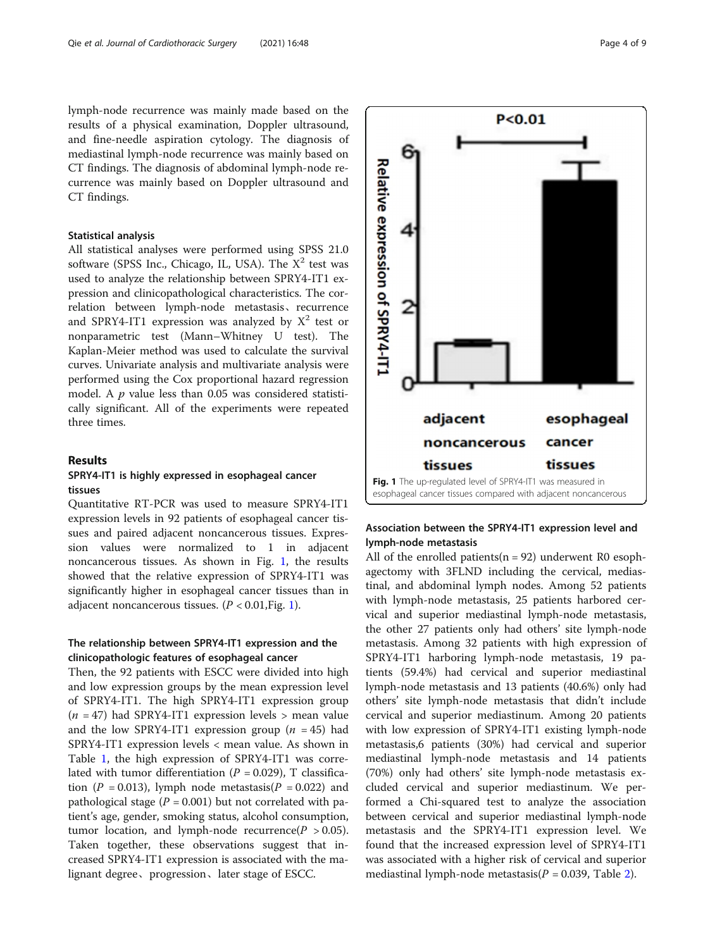lymph-node recurrence was mainly made based on the results of a physical examination, Doppler ultrasound, and fine-needle aspiration cytology. The diagnosis of mediastinal lymph-node recurrence was mainly based on CT findings. The diagnosis of abdominal lymph-node recurrence was mainly based on Doppler ultrasound and CT findings.

#### Statistical analysis

All statistical analyses were performed using SPSS 21.0 software (SPSS Inc., Chicago, IL, USA). The  $X^2$  test was used to analyze the relationship between SPRY4-IT1 expression and clinicopathological characteristics. The correlation between lymph-node metastasis、recurrence and SPRY4-IT1 expression was analyzed by  $X^2$  test or nonparametric test (Mann–Whitney U test). The Kaplan-Meier method was used to calculate the survival curves. Univariate analysis and multivariate analysis were performed using the Cox proportional hazard regression model. A  $p$  value less than 0.05 was considered statistically significant. All of the experiments were repeated three times.

#### Results

## SPRY4-IT1 is highly expressed in esophageal cancer tissues

Quantitative RT-PCR was used to measure SPRY4-IT1 expression levels in 92 patients of esophageal cancer tissues and paired adjacent noncancerous tissues. Expression values were normalized to 1 in adjacent noncancerous tissues. As shown in Fig. 1, the results showed that the relative expression of SPRY4-IT1 was significantly higher in esophageal cancer tissues than in adjacent noncancerous tissues.  $(P < 0.01$ , Fig. 1).

## The relationship between SPRY4-IT1 expression and the clinicopathologic features of esophageal cancer

Then, the 92 patients with ESCC were divided into high and low expression groups by the mean expression level of SPRY4-IT1. The high SPRY4-IT1 expression group  $(n = 47)$  had SPRY4-IT1 expression levels > mean value and the low SPRY4-IT1 expression group ( $n = 45$ ) had SPRY4-IT1 expression levels < mean value. As shown in Table [1](#page-4-0), the high expression of SPRY4-IT1 was correlated with tumor differentiation ( $P = 0.029$ ), T classification (P = 0.013), lymph node metastasis( $P = 0.022$ ) and pathological stage ( $P = 0.001$ ) but not correlated with patient's age, gender, smoking status, alcohol consumption, tumor location, and lymph-node recurrence( $P > 0.05$ ). Taken together, these observations suggest that increased SPRY4-IT1 expression is associated with the malignant degree、progression、later stage of ESCC.



esophageal

cancer

tissues

 $P < 0.01$ 



adjacent

tissues

noncancerous

Relative expression of SPRY4-IT

## Association between the SPRY4-IT1 expression level and lymph-node metastasis

All of the enrolled patients( $n = 92$ ) underwent R0 esophagectomy with 3FLND including the cervical, mediastinal, and abdominal lymph nodes. Among 52 patients with lymph-node metastasis, 25 patients harbored cervical and superior mediastinal lymph-node metastasis, the other 27 patients only had others' site lymph-node metastasis. Among 32 patients with high expression of SPRY4-IT1 harboring lymph-node metastasis, 19 patients (59.4%) had cervical and superior mediastinal lymph-node metastasis and 13 patients (40.6%) only had others' site lymph-node metastasis that didn't include cervical and superior mediastinum. Among 20 patients with low expression of SPRY4-IT1 existing lymph-node metastasis,6 patients (30%) had cervical and superior mediastinal lymph-node metastasis and 14 patients (70%) only had others' site lymph-node metastasis excluded cervical and superior mediastinum. We performed a Chi-squared test to analyze the association between cervical and superior mediastinal lymph-node metastasis and the SPRY4-IT1 expression level. We found that the increased expression level of SPRY4-IT1 was associated with a higher risk of cervical and superior mediastinal lymph-node metastasis( $P = 0.039$ , Table [2](#page-4-0)).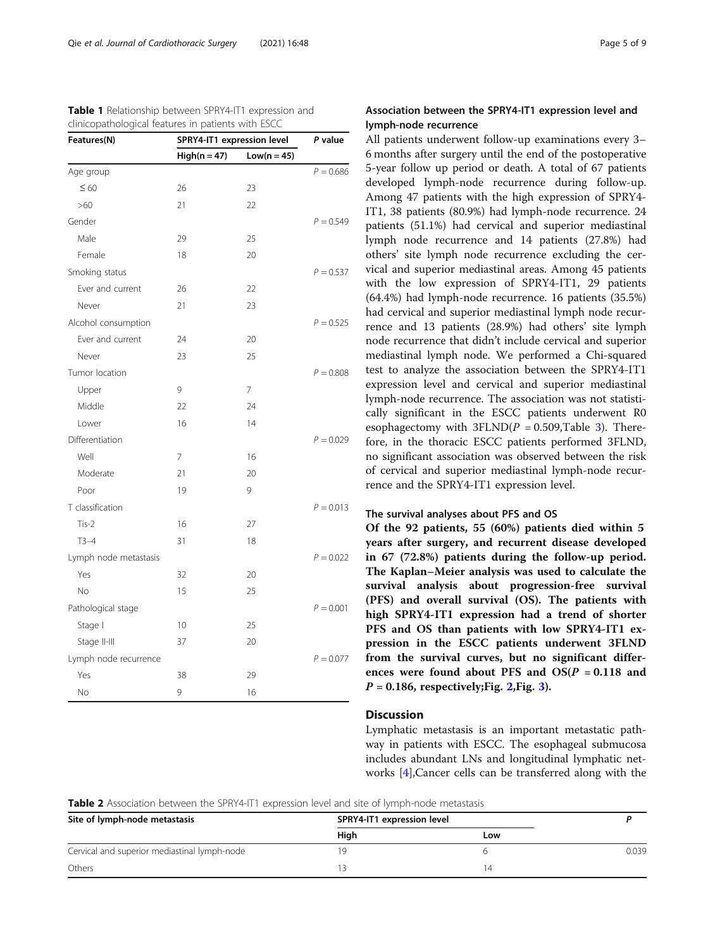| Features(N)           | SPRY4-IT1 expression level<br>$High(n = 47)$<br>$Low(n = 45)$ |    | P value     |
|-----------------------|---------------------------------------------------------------|----|-------------|
|                       |                                                               |    |             |
| Age group             |                                                               |    | $P = 0.686$ |
| $\leq 60$             | 26                                                            | 23 |             |
| >60                   | 21                                                            | 22 |             |
| Gender                |                                                               |    | $P = 0.549$ |
| Male                  | 29                                                            | 25 |             |
| Female                | 18                                                            | 20 |             |
| Smoking status        |                                                               |    | $P = 0.537$ |
| Ever and current      | 26                                                            | 22 |             |
| Never                 | 21                                                            | 23 |             |
| Alcohol consumption   |                                                               |    | $P = 0.525$ |
| Ever and current      | 24                                                            | 20 |             |
| Never                 | 23                                                            | 25 |             |
| Tumor location        |                                                               |    | $P = 0.808$ |
| Upper                 | 9                                                             | 7  |             |
| Middle                | 22                                                            | 24 |             |
| Lower                 | 16                                                            | 14 |             |
| Differentiation       |                                                               |    | $P = 0.029$ |
| Well                  | 7                                                             | 16 |             |
| Moderate              | 21                                                            | 20 |             |
| Poor                  | 19                                                            | 9  |             |
| T classification      |                                                               |    | $P = 0.013$ |
| $Tis-2$               | 16                                                            | 27 |             |
| $T3-4$                | 31                                                            | 18 |             |
| Lymph node metastasis |                                                               |    | $P = 0.022$ |
| Yes                   | 32                                                            | 20 |             |
| No                    | 15                                                            | 25 |             |
| Pathological stage    |                                                               |    | $P = 0.001$ |
| Stage I               | 10                                                            | 25 |             |
| Stage II-III          | 37                                                            | 20 |             |
| Lymph node recurrence |                                                               |    | $P = 0.077$ |
| Yes                   | 38                                                            | 29 |             |
| No                    | 9                                                             | 16 |             |

<span id="page-4-0"></span>

| <b>Table 1</b> Relationship between SPRY4-IT1 expression and |
|--------------------------------------------------------------|
| clinicopathological features in patients with ESCC           |

## Association between the SPRY4-IT1 expression level and lymph-node recurrence

All patients underwent follow-up examinations every 3– 6 months after surgery until the end of the postoperative 5-year follow up period or death. A total of 67 patients developed lymph-node recurrence during follow-up. Among 47 patients with the high expression of SPRY4- IT1, 38 patients (80.9%) had lymph-node recurrence. 24 patients (51.1%) had cervical and superior mediastinal lymph node recurrence and 14 patients (27.8%) had others' site lymph node recurrence excluding the cervical and superior mediastinal areas. Among 45 patients with the low expression of SPRY4-IT1, 29 patients (64.4%) had lymph-node recurrence. 16 patients (35.5%) had cervical and superior mediastinal lymph node recurrence and 13 patients (28.9%) had others' site lymph node recurrence that didn't include cervical and superior mediastinal lymph node. We performed a Chi-squared test to analyze the association between the SPRY4-IT1 expression level and cervical and superior mediastinal lymph-node recurrence. The association was not statistically significant in the ESCC patients underwent R0 esophagectomy with  $3FLND(P = 0.509, Table 3)$  $3FLND(P = 0.509, Table 3)$ . Therefore, in the thoracic ESCC patients performed 3FLND, no significant association was observed between the risk of cervical and superior mediastinal lymph-node recurrence and the SPRY4-IT1 expression level.

#### The survival analyses about PFS and OS

Of the 92 patients, 55 (60%) patients died within 5 years after surgery, and recurrent disease developed in 67 (72.8%) patients during the follow-up period. The Kaplan–Meier analysis was used to calculate the survival analysis about progression-free survival (PFS) and overall survival (OS). The patients with high SPRY4-IT1 expression had a trend of shorter PFS and OS than patients with low SPRY4-IT1 expression in the ESCC patients underwent 3FLND from the survival curves, but no significant differences were found about PFS and  $OS(P = 0.118$  and  $P = 0.186$ , respectively; Fig. [2](#page-5-0), Fig. [3\)](#page-6-0).

### **Discussion**

Lymphatic metastasis is an important metastatic pathway in patients with ESCC. The esophageal submucosa includes abundant LNs and longitudinal lymphatic networks [[4\]](#page-7-0),Cancer cells can be transferred along with the

| Table 2 Association between the SPRY4-IT1 expression level and site of lymph-node metastasis |  |  |  |  |
|----------------------------------------------------------------------------------------------|--|--|--|--|
|----------------------------------------------------------------------------------------------|--|--|--|--|

| Site of lymph-node metastasis                | SPRY4-IT1 expression level |     |       |
|----------------------------------------------|----------------------------|-----|-------|
|                                              | High                       | Low |       |
| Cervical and superior mediastinal lymph-node |                            |     | 0.039 |
| Others                                       |                            | 14  |       |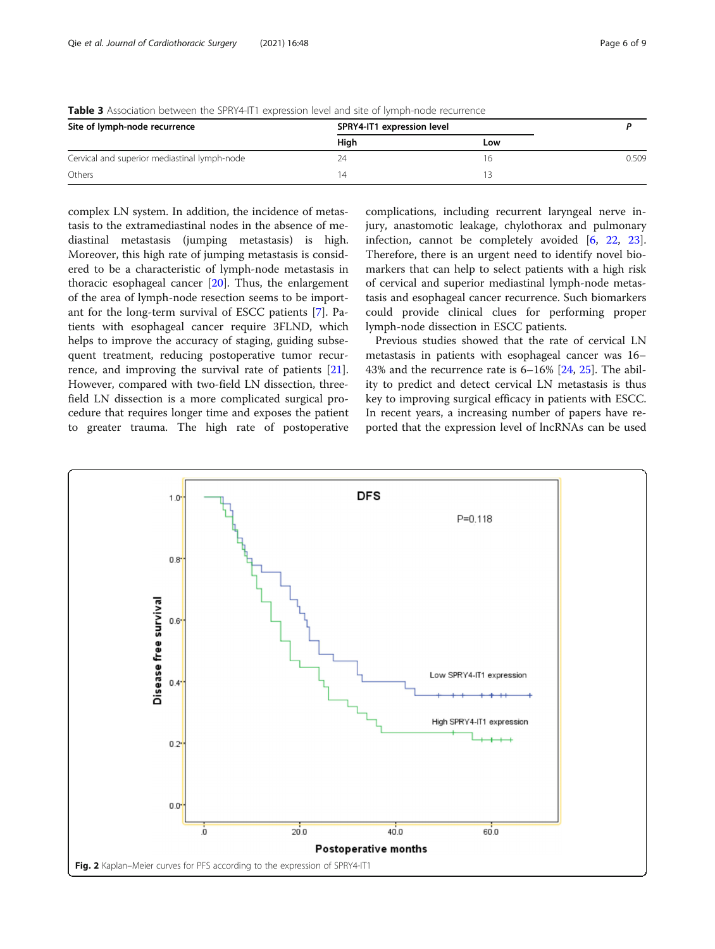| Site of lymph-node recurrence                | SPRY4-IT1 expression level |     |       |
|----------------------------------------------|----------------------------|-----|-------|
|                                              | Hiah                       | Low |       |
| Cervical and superior mediastinal lymph-node | 24                         | 16  | 0.509 |
| Others                                       | $\overline{A}$             |     |       |

<span id="page-5-0"></span>**Table 3** Association between the SPRY4-IT1 expression level and site of lymph-node recurrence

complex LN system. In addition, the incidence of metastasis to the extramediastinal nodes in the absence of mediastinal metastasis (jumping metastasis) is high. Moreover, this high rate of jumping metastasis is considered to be a characteristic of lymph-node metastasis in thoracic esophageal cancer [\[20](#page-8-0)]. Thus, the enlargement of the area of lymph-node resection seems to be important for the long-term survival of ESCC patients [\[7](#page-7-0)]. Patients with esophageal cancer require 3FLND, which helps to improve the accuracy of staging, guiding subsequent treatment, reducing postoperative tumor recurrence, and improving the survival rate of patients [\[21](#page-8-0)]. However, compared with two-field LN dissection, threefield LN dissection is a more complicated surgical procedure that requires longer time and exposes the patient to greater trauma. The high rate of postoperative complications, including recurrent laryngeal nerve injury, anastomotic leakage, chylothorax and pulmonary infection, cannot be completely avoided [\[6](#page-7-0), [22,](#page-8-0) [23](#page-8-0)]. Therefore, there is an urgent need to identify novel biomarkers that can help to select patients with a high risk of cervical and superior mediastinal lymph-node metastasis and esophageal cancer recurrence. Such biomarkers could provide clinical clues for performing proper lymph-node dissection in ESCC patients.

Previous studies showed that the rate of cervical LN metastasis in patients with esophageal cancer was 16– 43% and the recurrence rate is 6–16% [[24](#page-8-0), [25\]](#page-8-0). The ability to predict and detect cervical LN metastasis is thus key to improving surgical efficacy in patients with ESCC. In recent years, a increasing number of papers have reported that the expression level of lncRNAs can be used

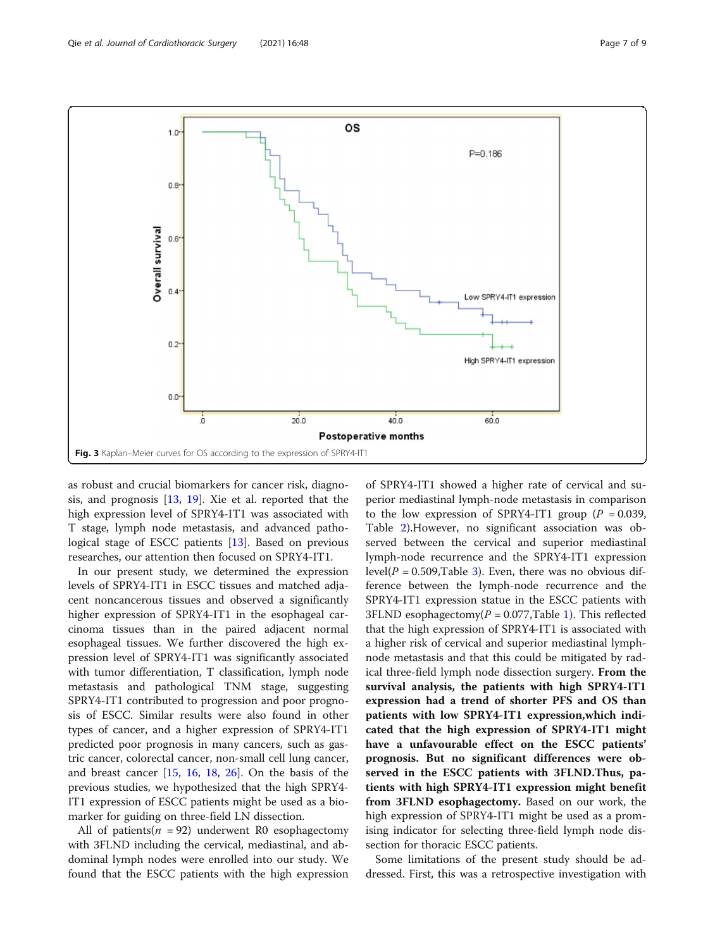<span id="page-6-0"></span>

as robust and crucial biomarkers for cancer risk, diagnosis, and prognosis [\[13](#page-7-0), [19](#page-8-0)]. Xie et al. reported that the high expression level of SPRY4-IT1 was associated with T stage, lymph node metastasis, and advanced pathological stage of ESCC patients [\[13\]](#page-7-0). Based on previous researches, our attention then focused on SPRY4-IT1.

In our present study, we determined the expression levels of SPRY4-IT1 in ESCC tissues and matched adjacent noncancerous tissues and observed a significantly higher expression of SPRY4-IT1 in the esophageal carcinoma tissues than in the paired adjacent normal esophageal tissues. We further discovered the high expression level of SPRY4-IT1 was significantly associated with tumor differentiation, T classification, lymph node metastasis and pathological TNM stage, suggesting SPRY4-IT1 contributed to progression and poor prognosis of ESCC. Similar results were also found in other types of cancer, and a higher expression of SPRY4-IT1 predicted poor prognosis in many cancers, such as gastric cancer, colorectal cancer, non-small cell lung cancer, and breast cancer [[15,](#page-7-0) [16,](#page-7-0) [18](#page-8-0), [26](#page-8-0)]. On the basis of the previous studies, we hypothesized that the high SPRY4- IT1 expression of ESCC patients might be used as a biomarker for guiding on three-field LN dissection.

All of patients( $n = 92$ ) underwent R0 esophagectomy with 3FLND including the cervical, mediastinal, and abdominal lymph nodes were enrolled into our study. We found that the ESCC patients with the high expression of SPRY4-IT1 showed a higher rate of cervical and superior mediastinal lymph-node metastasis in comparison to the low expression of SPRY4-IT1 group ( $P = 0.039$ , Table [2\)](#page-4-0).However, no significant association was observed between the cervical and superior mediastinal lymph-node recurrence and the SPRY4-IT1 expression level( $P = 0.509$ , Table [3](#page-5-0)). Even, there was no obvious difference between the lymph-node recurrence and the SPRY4-IT1 expression statue in the ESCC patients with 3FLND esophagectomy( $P = 0.077$ , Table [1](#page-4-0)). This reflected that the high expression of SPRY4-IT1 is associated with a higher risk of cervical and superior mediastinal lymphnode metastasis and that this could be mitigated by radical three-field lymph node dissection surgery. From the survival analysis, the patients with high SPRY4-IT1 expression had a trend of shorter PFS and OS than patients with low SPRY4-IT1 expression,which indicated that the high expression of SPRY4-IT1 might have a unfavourable effect on the ESCC patients' prognosis. But no significant differences were observed in the ESCC patients with 3FLND.Thus, patients with high SPRY4-IT1 expression might benefit from 3FLND esophagectomy. Based on our work, the high expression of SPRY4-IT1 might be used as a promising indicator for selecting three-field lymph node dissection for thoracic ESCC patients.

Some limitations of the present study should be addressed. First, this was a retrospective investigation with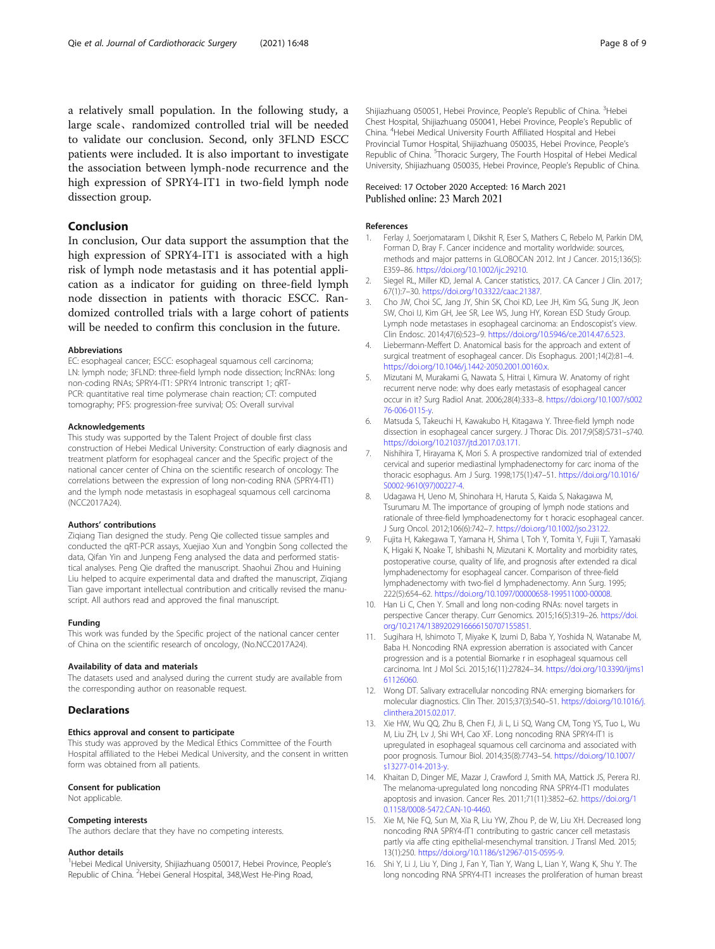<span id="page-7-0"></span>a relatively small population. In the following study, a large scale、randomized controlled trial will be needed to validate our conclusion. Second, only 3FLND ESCC patients were included. It is also important to investigate the association between lymph-node recurrence and the high expression of SPRY4-IT1 in two-field lymph node dissection group.

#### Conclusion

In conclusion, Our data support the assumption that the high expression of SPRY4-IT1 is associated with a high risk of lymph node metastasis and it has potential application as a indicator for guiding on three-field lymph node dissection in patients with thoracic ESCC. Randomized controlled trials with a large cohort of patients will be needed to confirm this conclusion in the future.

#### Abbreviations

EC: esophageal cancer; ESCC: esophageal squamous cell carcinoma; LN: lymph node; 3FLND: three-field lymph node dissection; lncRNAs: long non-coding RNAs; SPRY4-IT1: SPRY4 Intronic transcript 1; qRT-PCR: quantitative real time polymerase chain reaction; CT: computed tomography; PFS: progression-free survival; OS: Overall survival

#### Acknowledgements

This study was supported by the Talent Project of double first class construction of Hebei Medical University: Construction of early diagnosis and treatment platform for esophageal cancer and the Specific project of the national cancer center of China on the scientific research of oncology: The correlations between the expression of long non-coding RNA (SPRY4-lT1) and the lymph node metastasis in esophageal squamous cell carcinoma (NCC2017A24).

#### Authors' contributions

Ziqiang Tian designed the study. Peng Qie collected tissue samples and conducted the qRT-PCR assays, Xuejiao Xun and Yongbin Song collected the data, Qifan Yin and Junpeng Feng analysed the data and performed statistical analyses. Peng Qie drafted the manuscript. Shaohui Zhou and Huining Liu helped to acquire experimental data and drafted the manuscript, Ziqiang Tian gave important intellectual contribution and critically revised the manuscript. All authors read and approved the final manuscript.

#### Funding

This work was funded by the Specific project of the national cancer center of China on the scientific research of oncology, (No.NCC2017A24).

#### Availability of data and materials

The datasets used and analysed during the current study are available from the corresponding author on reasonable request.

#### **Declarations**

#### Ethics approval and consent to participate

This study was approved by the Medical Ethics Committee of the Fourth Hospital affiliated to the Hebei Medical University, and the consent in written form was obtained from all patients.

#### Consent for publication

Not applicable.

#### Competing interests

The authors declare that they have no competing interests.

#### Author details

<sup>1</sup>Hebei Medical University, Shijiazhuang 050017, Hebei Province, People's Republic of China. <sup>2</sup> Hebei General Hospital, 348, West He-Ping Road,

Shijiazhuang 050051, Hebei Province, People's Republic of China. <sup>3</sup>Hebei Chest Hospital, Shijiazhuang 050041, Hebei Province, People's Republic of China. <sup>4</sup>Hebei Medical University Fourth Affiliated Hospital and Hebei Provincial Tumor Hospital, Shijiazhuang 050035, Hebei Province, People's Republic of China. <sup>5</sup>Thoracic Surgery, The Fourth Hospital of Hebei Medical University, Shijiazhuang 050035, Hebei Province, People's Republic of China.

#### Received: 17 October 2020 Accepted: 16 March 2021 Published online: 23 March 2021

#### References

- 1. Ferlay J, Soerjomataram I, Dikshit R, Eser S, Mathers C, Rebelo M, Parkin DM, Forman D, Bray F. Cancer incidence and mortality worldwide: sources, methods and major patterns in GLOBOCAN 2012. Int J Cancer. 2015;136(5): E359–86. <https://doi.org/10.1002/ijc.29210>.
- 2. Siegel RL, Miller KD, Jemal A. Cancer statistics, 2017. CA Cancer J Clin. 2017; 67(1):7–30. <https://doi.org/10.3322/caac.21387>.
- 3. Cho JW, Choi SC, Jang JY, Shin SK, Choi KD, Lee JH, Kim SG, Sung JK, Jeon SW, Choi IJ, Kim GH, Jee SR, Lee WS, Jung HY, Korean ESD Study Group. Lymph node metastases in esophageal carcinoma: an Endoscopist's view. Clin Endosc. 2014;47(6):523–9. <https://doi.org/10.5946/ce.2014.47.6.523>.
- 4. Liebermann-Meffert D. Anatomical basis for the approach and extent of surgical treatment of esophageal cancer. Dis Esophagus. 2001;14(2):81–4. <https://doi.org/10.1046/j.1442-2050.2001.00160.x>.
- 5. Mizutani M, Murakami G, Nawata S, Hitrai I, Kimura W. Anatomy of right recurrent nerve node: why does early metastasis of esophageal cancer occur in it? Surg Radiol Anat. 2006;28(4):333–8. [https://doi.org/10.1007/s002](https://doi.org/10.1007/s00276-006-0115-y) [76-006-0115-y.](https://doi.org/10.1007/s00276-006-0115-y)
- 6. Matsuda S, Takeuchi H, Kawakubo H, Kitagawa Y. Three-field lymph node dissection in esophageal cancer surgery. J Thorac Dis. 2017;9(S8):S731–s740. <https://doi.org/10.21037/jtd.2017.03.171>.
- 7. Nishihira T, Hirayama K, Mori S. A prospective randomized trial of extended cervical and superior mediastinal lymphadenectomy for carc inoma of the thoracic esophagus. Am J Surg. 1998;175(1):47–51. [https://doi.org/10.1016/](https://doi.org/10.1016/S0002-9610(97)00227-4) [S0002-9610\(97\)00227-4](https://doi.org/10.1016/S0002-9610(97)00227-4).
- 8. Udagawa H, Ueno M, Shinohara H, Haruta S, Kaida S, Nakagawa M, Tsurumaru M. The importance of grouping of lymph node stations and rationale of three-field lymphoadenectomy for t horacic esophageal cancer. J Surg Oncol. 2012;106(6):742–7. [https://doi.org/10.1002/jso.23122.](https://doi.org/10.1002/jso.23122)
- 9. Fujita H, Kakegawa T, Yamana H, Shima I, Toh Y, Tomita Y, Fujii T, Yamasaki K, Higaki K, Noake T, Ishibashi N, Mizutani K. Mortality and morbidity rates, postoperative course, quality of life, and prognosis after extended ra dical lymphadenectomy for esophageal cancer. Comparison of three-field lymphadenectomy with two-fiel d lymphadenectomy. Ann Surg. 1995; 222(5):654–62. [https://doi.org/10.1097/00000658-199511000-00008.](https://doi.org/10.1097/00000658-199511000-00008)
- 10. Han Li C, Chen Y. Small and long non-coding RNAs: novel targets in perspective Cancer therapy. Curr Genomics. 2015;16(5):319–26. [https://doi.](https://doi.org/10.2174/1389202916666150707155851) [org/10.2174/1389202916666150707155851](https://doi.org/10.2174/1389202916666150707155851).
- 11. Sugihara H, Ishimoto T, Miyake K, Izumi D, Baba Y, Yoshida N, Watanabe M, Baba H. Noncoding RNA expression aberration is associated with Cancer progression and is a potential Biomarke r in esophageal squamous cell carcinoma. Int J Mol Sci. 2015;16(11):27824–34. [https://doi.org/10.3390/ijms1](https://doi.org/10.3390/ijms161126060) [61126060](https://doi.org/10.3390/ijms161126060).
- 12. Wong DT. Salivary extracellular noncoding RNA: emerging biomarkers for molecular diagnostics. Clin Ther. 2015;37(3):540–51. [https://doi.org/10.1016/j.](https://doi.org/10.1016/j.clinthera.2015.02.017) [clinthera.2015.02.017](https://doi.org/10.1016/j.clinthera.2015.02.017).
- 13. Xie HW, Wu QQ, Zhu B, Chen FJ, Ji L, Li SQ, Wang CM, Tong YS, Tuo L, Wu M, Liu ZH, Lv J, Shi WH, Cao XF. Long noncoding RNA SPRY4-IT1 is upregulated in esophageal squamous cell carcinoma and associated with poor prognosis. Tumour Biol. 2014;35(8):7743–54. [https://doi.org/10.1007/](https://doi.org/10.1007/s13277-014-2013-y) [s13277-014-2013-y.](https://doi.org/10.1007/s13277-014-2013-y)
- 14. Khaitan D, Dinger ME, Mazar J, Crawford J, Smith MA, Mattick JS, Perera RJ. The melanoma-upregulated long noncoding RNA SPRY4-IT1 modulates apoptosis and invasion. Cancer Res. 2011;71(11):3852–62. [https://doi.org/1](https://doi.org/10.1158/0008-5472.CAN-10-4460) [0.1158/0008-5472.CAN-10-4460](https://doi.org/10.1158/0008-5472.CAN-10-4460).
- 15. Xie M, Nie FQ, Sun M, Xia R, Liu YW, Zhou P, de W, Liu XH. Decreased long noncoding RNA SPRY4-IT1 contributing to gastric cancer cell metastasis partly via affe cting epithelial-mesenchymal transition. J Transl Med. 2015; 13(1):250. [https://doi.org/10.1186/s12967-015-0595-9.](https://doi.org/10.1186/s12967-015-0595-9)
- 16. Shi Y, Li J, Liu Y, Ding J, Fan Y, Tian Y, Wang L, Lian Y, Wang K, Shu Y. The long noncoding RNA SPRY4-IT1 increases the proliferation of human breast